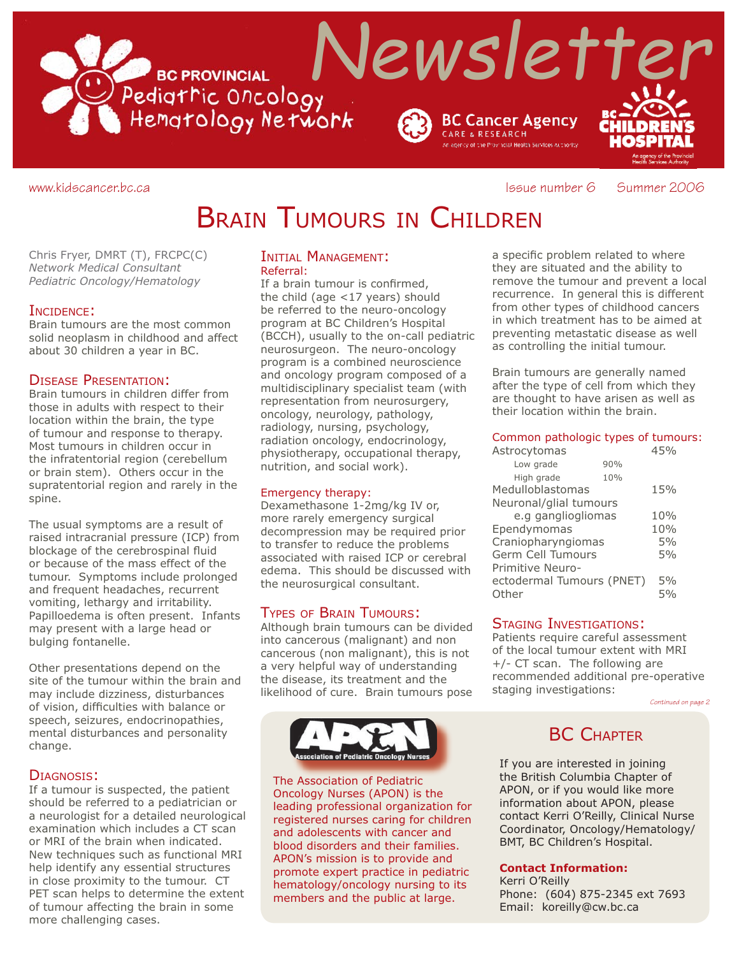

#### www.kidscancer.bc.ca **Issue number 6 Summer 2006**

## BRAIN TUMOURS IN CHILDREN

Chris Fryer, DMRT (T), FRCPC(C) *Network Medical Consultant Pediatric Oncology/Hematology*

#### INCIDENCE:

Brain tumours are the most common solid neoplasm in childhood and affect about 30 children a year in BC.

#### DISEASE PRESENTATION:

Brain tumours in children differ from those in adults with respect to their location within the brain, the type of tumour and response to therapy. Most tumours in children occur in the infratentorial region (cerebellum or brain stem). Others occur in the supratentorial region and rarely in the spine.

The usual symptoms are a result of raised intracranial pressure (ICP) from blockage of the cerebrospinal fluid or because of the mass effect of the tumour. Symptoms include prolonged and frequent headaches, recurrent vomiting, lethargy and irritability. Papilloedema is often present. Infants may present with a large head or bulging fontanelle.

Other presentations depend on the site of the tumour within the brain and may include dizziness, disturbances of vision, difficulties with balance or speech, seizures, endocrinopathies, mental disturbances and personality change.

#### DIAGNOSIS:

If a tumour is suspected, the patient should be referred to a pediatrician or a neurologist for a detailed neurological examination which includes a CT scan or MRI of the brain when indicated. New techniques such as functional MRI help identify any essential structures in close proximity to the tumour. CT PET scan helps to determine the extent of tumour affecting the brain in some more challenging cases.

#### INITIAL MANAGEMENT: Referral:

If a brain tumour is confirmed, the child (age <17 years) should be referred to the neuro-oncology program at BC Children's Hospital (BCCH), usually to the on-call pediatric neurosurgeon. The neuro-oncology program is a combined neuroscience and oncology program composed of a multidisciplinary specialist team (with representation from neurosurgery, oncology, neurology, pathology, radiology, nursing, psychology, radiation oncology, endocrinology, physiotherapy, occupational therapy, nutrition, and social work).

#### Emergency therapy:

Dexamethasone 1-2mg/kg IV or, more rarely emergency surgical decompression may be required prior to transfer to reduce the problems associated with raised ICP or cerebral edema. This should be discussed with the neurosurgical consultant.

#### TYPES OF BRAIN TUMOURS:

Although brain tumours can be divided into cancerous (malignant) and non cancerous (non malignant), this is not a very helpful way of understanding the disease, its treatment and the likelihood of cure. Brain tumours pose



The Association of Pediatric Oncology Nurses (APON) is the leading professional organization for registered nurses caring for children and adolescents with cancer and blood disorders and their families. APON's mission is to provide and promote expert practice in pediatric hematology/oncology nursing to its members and the public at large.

a specific problem related to where they are situated and the ability to remove the tumour and prevent a local recurrence. In general this is different from other types of childhood cancers in which treatment has to be aimed at preventing metastatic disease as well as controlling the initial tumour.

Brain tumours are generally named after the type of cell from which they are thought to have arisen as well as their location within the brain.

#### Common pathologic types of tumours:

| Astrocytomas              | 45% |     |  |  |
|---------------------------|-----|-----|--|--|
| Low grade                 | 90% |     |  |  |
| High grade                | 10% |     |  |  |
| Medulloblastomas          | 15% |     |  |  |
| Neuronal/glial tumours    |     |     |  |  |
| e.g gangliogliomas        |     | 10% |  |  |
| Ependymomas               |     | 10% |  |  |
| Craniopharyngiomas        |     | 5%  |  |  |
| Germ Cell Tumours         |     | 5%  |  |  |
| Primitive Neuro-          |     |     |  |  |
| ectodermal Tumours (PNET) |     | 5%  |  |  |
| Other                     |     | 5%  |  |  |

#### STAGING INVESTIGATIONS:

Patients require careful assessment of the local tumour extent with MRI +/- CT scan. The following are recommended additional pre-operative staging investigations:

*Continued on page 2*

### **BC CHAPTER**

If you are interested in joining the British Columbia Chapter of APON, or if you would like more information about APON, please contact Kerri O'Reilly, Clinical Nurse Coordinator, Oncology/Hematology/ BMT, BC Children's Hospital.

#### **Contact Information:**

Kerri O'Reilly Phone: (604) 875-2345 ext 7693 Email: koreilly@cw.bc.ca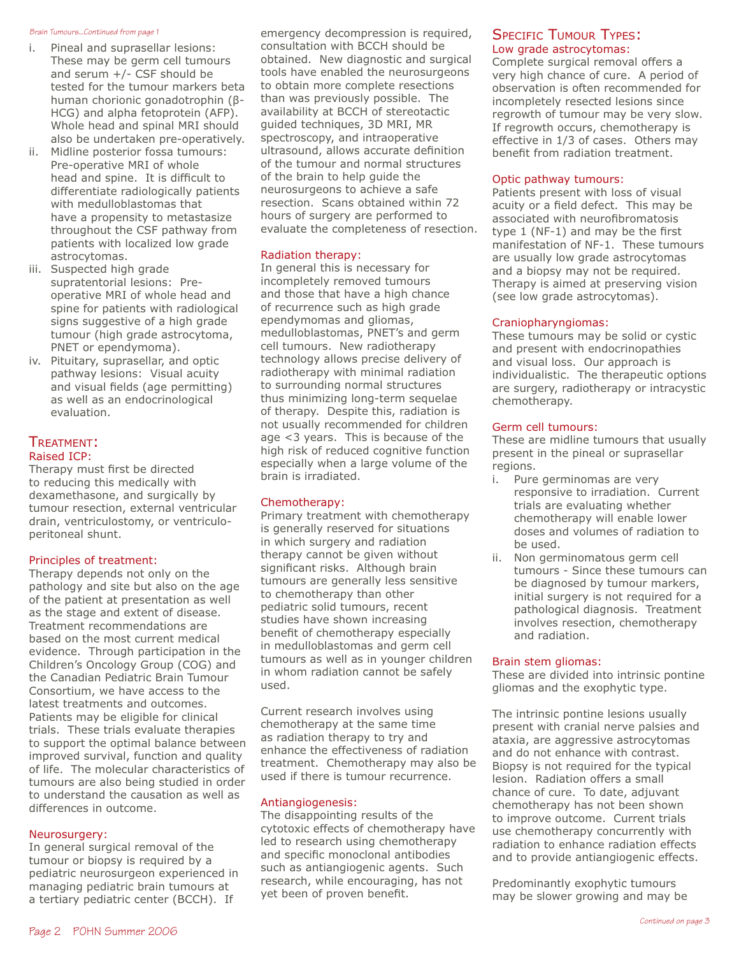#### *Brain Tumours...Continued from page 1*

- i. Pineal and suprasellar lesions: These may be germ cell tumours and serum +/- CSF should be tested for the tumour markers beta human chorionic gonadotrophin (β-HCG) and alpha fetoprotein (AFP). Whole head and spinal MRI should also be undertaken pre-operatively.
- ii. Midline posterior fossa tumours: Pre-operative MRI of whole head and spine. It is difficult to differentiate radiologically patients with medulloblastomas that have a propensity to metastasize throughout the CSF pathway from patients with localized low grade astrocytomas.
- iii. Suspected high grade supratentorial lesions: Preoperative MRI of whole head and spine for patients with radiological signs suggestive of a high grade tumour (high grade astrocytoma, PNET or ependymoma).
- iv. Pituitary, suprasellar, and optic pathway lesions: Visual acuity and visual fields (age permitting) as well as an endocrinological evaluation.

#### TREATMENT: Raised ICP:

Therapy must first be directed to reducing this medically with dexamethasone, and surgically by tumour resection, external ventricular drain, ventriculostomy, or ventriculoperitoneal shunt.

#### Principles of treatment:

Therapy depends not only on the pathology and site but also on the age of the patient at presentation as well as the stage and extent of disease. Treatment recommendations are based on the most current medical evidence. Through participation in the Children's Oncology Group (COG) and the Canadian Pediatric Brain Tumour Consortium, we have access to the latest treatments and outcomes. Patients may be eligible for clinical trials. These trials evaluate therapies to support the optimal balance between improved survival, function and quality of life. The molecular characteristics of tumours are also being studied in order to understand the causation as well as differences in outcome.

#### Neurosurgery:

In general surgical removal of the tumour or biopsy is required by a pediatric neurosurgeon experienced in managing pediatric brain tumours at a tertiary pediatric center (BCCH). If

emergency decompression is required, consultation with BCCH should be obtained. New diagnostic and surgical tools have enabled the neurosurgeons to obtain more complete resections than was previously possible. The availability at BCCH of stereotactic guided techniques, 3D MRI, MR spectroscopy, and intraoperative ultrasound, allows accurate definition of the tumour and normal structures of the brain to help guide the neurosurgeons to achieve a safe resection. Scans obtained within 72 hours of surgery are performed to evaluate the completeness of resection.

#### Radiation therapy:

In general this is necessary for incompletely removed tumours and those that have a high chance of recurrence such as high grade ependymomas and gliomas, medulloblastomas, PNET's and germ cell tumours. New radiotherapy technology allows precise delivery of radiotherapy with minimal radiation to surrounding normal structures thus minimizing long-term sequelae of therapy. Despite this, radiation is not usually recommended for children age <3 years. This is because of the high risk of reduced cognitive function especially when a large volume of the brain is irradiated.

#### Chemotherapy:

Primary treatment with chemotherapy is generally reserved for situations in which surgery and radiation therapy cannot be given without significant risks. Although brain tumours are generally less sensitive to chemotherapy than other pediatric solid tumours, recent studies have shown increasing benefit of chemotherapy especially in medulloblastomas and germ cell tumours as well as in younger children in whom radiation cannot be safely used.

Current research involves using chemotherapy at the same time as radiation therapy to try and enhance the effectiveness of radiation treatment. Chemotherapy may also be used if there is tumour recurrence.

#### Antiangiogenesis:

The disappointing results of the cytotoxic effects of chemotherapy have led to research using chemotherapy and specific monoclonal antibodies such as antiangiogenic agents. Such research, while encouraging, has not yet been of proven benefit.

#### **SPECIFIC TUMOUR TYPES:** Low grade astrocytomas:

Complete surgical removal offers a very high chance of cure. A period of observation is often recommended for incompletely resected lesions since regrowth of tumour may be very slow. If regrowth occurs, chemotherapy is effective in 1/3 of cases. Others may benefit from radiation treatment.

#### Optic pathway tumours:

Patients present with loss of visual acuity or a field defect. This may be associated with neurofibromatosis type  $1$  (NF-1) and may be the first manifestation of NF-1. These tumours are usually low grade astrocytomas and a biopsy may not be required. Therapy is aimed at preserving vision (see low grade astrocytomas).

#### Craniopharyngiomas:

These tumours may be solid or cystic and present with endocrinopathies and visual loss. Our approach is individualistic. The therapeutic options are surgery, radiotherapy or intracystic chemotherapy.

#### Germ cell tumours:

These are midline tumours that usually present in the pineal or suprasellar regions.

- i. Pure germinomas are very responsive to irradiation. Current trials are evaluating whether chemotherapy will enable lower doses and volumes of radiation to be used.
- ii. Non germinomatous germ cell tumours - Since these tumours can be diagnosed by tumour markers, initial surgery is not required for a pathological diagnosis. Treatment involves resection, chemotherapy and radiation.

#### Brain stem gliomas:

These are divided into intrinsic pontine gliomas and the exophytic type.

The intrinsic pontine lesions usually present with cranial nerve palsies and ataxia, are aggressive astrocytomas and do not enhance with contrast. Biopsy is not required for the typical lesion. Radiation offers a small chance of cure. To date, adjuvant chemotherapy has not been shown to improve outcome. Current trials use chemotherapy concurrently with radiation to enhance radiation effects and to provide antiangiogenic effects.

Predominantly exophytic tumours may be slower growing and may be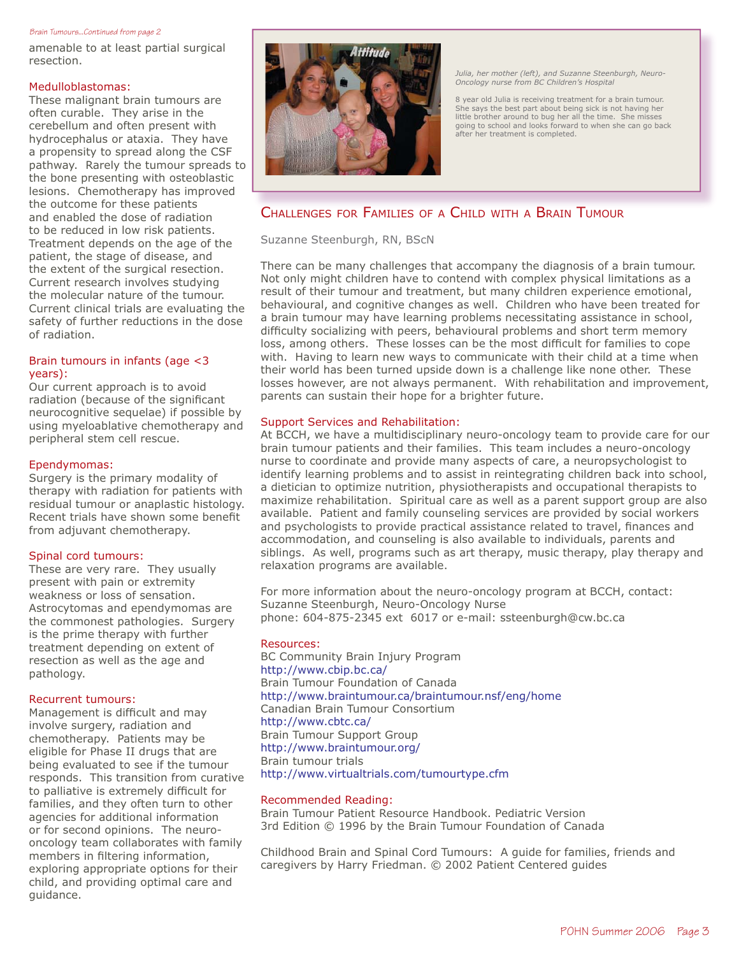#### *Brain Tumours...Continued from page 2*

amenable to at least partial surgical resection.

#### Medulloblastomas:

These malignant brain tumours are often curable. They arise in the cerebellum and often present with hydrocephalus or ataxia. They have a propensity to spread along the CSF pathway. Rarely the tumour spreads to the bone presenting with osteoblastic lesions. Chemotherapy has improved the outcome for these patients and enabled the dose of radiation to be reduced in low risk patients. Treatment depends on the age of the patient, the stage of disease, and the extent of the surgical resection. Current research involves studying the molecular nature of the tumour. Current clinical trials are evaluating the safety of further reductions in the dose of radiation.

#### Brain tumours in infants (age <3 years):

Our current approach is to avoid radiation (because of the significant neurocognitive sequelae) if possible by using myeloablative chemotherapy and peripheral stem cell rescue.

#### Ependymomas:

Surgery is the primary modality of therapy with radiation for patients with residual tumour or anaplastic histology. Recent trials have shown some benefit from adjuvant chemotherapy.

#### Spinal cord tumours:

These are very rare. They usually present with pain or extremity weakness or loss of sensation. Astrocytomas and ependymomas are the commonest pathologies. Surgery is the prime therapy with further treatment depending on extent of resection as well as the age and pathology.

#### Recurrent tumours:

Management is difficult and may involve surgery, radiation and chemotherapy. Patients may be eligible for Phase II drugs that are being evaluated to see if the tumour responds. This transition from curative to palliative is extremely difficult for families, and they often turn to other agencies for additional information or for second opinions. The neurooncology team collaborates with family members in filtering information, exploring appropriate options for their child, and providing optimal care and guidance.



*Julia, her mother (left), and Suzanne Steenburgh, Neuro-Oncology nurse from BC Children's Hospital*

8 year old Julia is receiving treatment for a brain tumour. She says the best part about being sick is not having her little brother around to bug her all the time. She misses going to school and looks forward to when she can go back after her treatment is completed.

### CHALLENGES FOR FAMILIES OF A CHILD WITH A BRAIN TUMOUR

Suzanne Steenburgh, RN, BScN

There can be many challenges that accompany the diagnosis of a brain tumour. Not only might children have to contend with complex physical limitations as a result of their tumour and treatment, but many children experience emotional, behavioural, and cognitive changes as well. Children who have been treated for a brain tumour may have learning problems necessitating assistance in school, difficulty socializing with peers, behavioural problems and short term memory loss, among others. These losses can be the most difficult for families to cope with. Having to learn new ways to communicate with their child at a time when their world has been turned upside down is a challenge like none other. These losses however, are not always permanent. With rehabilitation and improvement, parents can sustain their hope for a brighter future.

#### Support Services and Rehabilitation:

At BCCH, we have a multidisciplinary neuro-oncology team to provide care for our brain tumour patients and their families. This team includes a neuro-oncology nurse to coordinate and provide many aspects of care, a neuropsychologist to identify learning problems and to assist in reintegrating children back into school, a dietician to optimize nutrition, physiotherapists and occupational therapists to maximize rehabilitation. Spiritual care as well as a parent support group are also available. Patient and family counseling services are provided by social workers and psychologists to provide practical assistance related to travel, finances and accommodation, and counseling is also available to individuals, parents and siblings. As well, programs such as art therapy, music therapy, play therapy and relaxation programs are available.

For more information about the neuro-oncology program at BCCH, contact: Suzanne Steenburgh, Neuro-Oncology Nurse phone: 604-875-2345 ext 6017 or e-mail: ssteenburgh@cw.bc.ca

#### Resources:

BC Community Brain Injury Program http://www.cbip.bc.ca/ Brain Tumour Foundation of Canada http://www.braintumour.ca/braintumour.nsf/eng/home Canadian Brain Tumour Consortium http://www.cbtc.ca/ Brain Tumour Support Group http://www.braintumour.org/ Brain tumour trials http://www.virtualtrials.com/tumourtype.cfm

#### Recommended Reading:

Brain Tumour Patient Resource Handbook. Pediatric Version 3rd Edition © 1996 by the Brain Tumour Foundation of Canada

Childhood Brain and Spinal Cord Tumours: A guide for families, friends and caregivers by Harry Friedman. © 2002 Patient Centered guides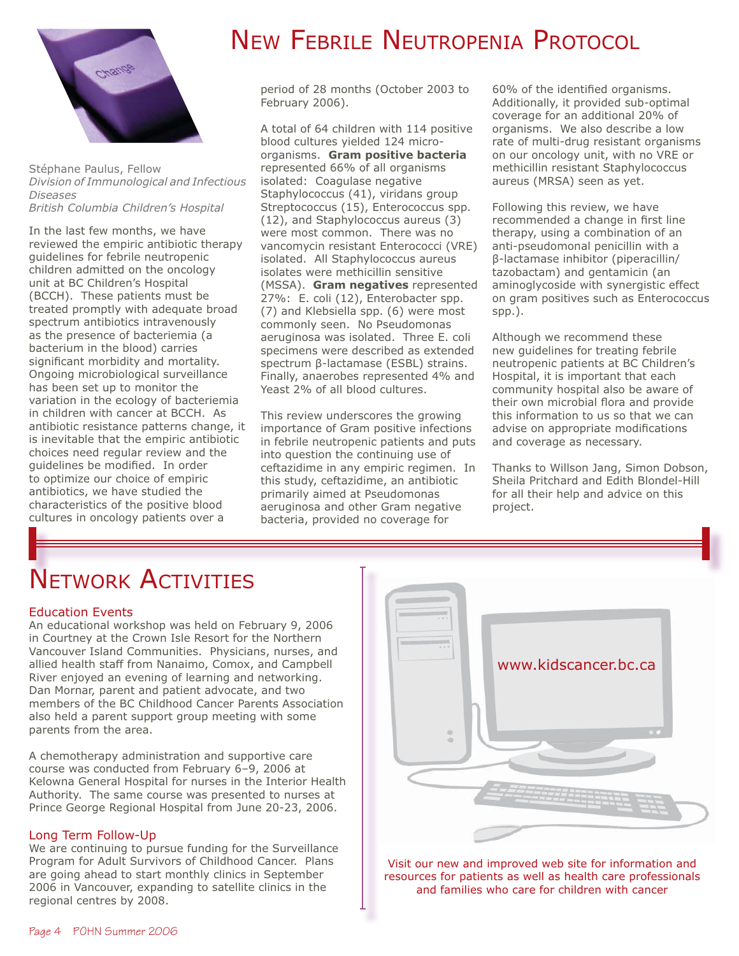

Stéphane Paulus, Fellow *Division of Immunological and Infectious Diseases British Columbia Children's Hospital*

In the last few months, we have reviewed the empiric antibiotic therapy guidelines for febrile neutropenic children admitted on the oncology unit at BC Children's Hospital (BCCH). These patients must be treated promptly with adequate broad spectrum antibiotics intravenously as the presence of bacteriemia (a bacterium in the blood) carries significant morbidity and mortality. Ongoing microbiological surveillance has been set up to monitor the variation in the ecology of bacteriemia in children with cancer at BCCH. As antibiotic resistance patterns change, it is inevitable that the empiric antibiotic choices need regular review and the quidelines be modified. In order to optimize our choice of empiric antibiotics, we have studied the characteristics of the positive blood cultures in oncology patients over a

## NEW FEBRILE NEUTROPENIA PROTOCOL

period of 28 months (October 2003 to February 2006).

A total of 64 children with 114 positive blood cultures yielded 124 microorganisms. **Gram positive bacteria** represented 66% of all organisms isolated: Coagulase negative Staphylococcus (41), viridans group Streptococcus (15), Enterococcus spp. (12), and Staphylococcus aureus (3) were most common. There was no vancomycin resistant Enterococci (VRE) isolated. All Staphylococcus aureus isolates were methicillin sensitive (MSSA). **Gram negatives** represented 27%: E. coli (12), Enterobacter spp. (7) and Klebsiella spp. (6) were most commonly seen. No Pseudomonas aeruginosa was isolated. Three E. coli specimens were described as extended spectrum β-lactamase (ESBL) strains. Finally, anaerobes represented 4% and Yeast 2% of all blood cultures.

This review underscores the growing importance of Gram positive infections in febrile neutropenic patients and puts into question the continuing use of ceftazidime in any empiric regimen. In this study, ceftazidime, an antibiotic primarily aimed at Pseudomonas aeruginosa and other Gram negative bacteria, provided no coverage for

60% of the identified organisms. Additionally, it provided sub-optimal coverage for an additional 20% of organisms. We also describe a low rate of multi-drug resistant organisms on our oncology unit, with no VRE or methicillin resistant Staphylococcus aureus (MRSA) seen as yet.

Following this review, we have recommended a change in first line therapy, using a combination of an anti-pseudomonal penicillin with a β-lactamase inhibitor (piperacillin/ tazobactam) and gentamicin (an aminoglycoside with synergistic effect on gram positives such as Enterococcus spp.).

Although we recommend these new guidelines for treating febrile neutropenic patients at BC Children's Hospital, it is important that each community hospital also be aware of their own microbial flora and provide this information to us so that we can advise on appropriate modifications and coverage as necessary.

Thanks to Willson Jang, Simon Dobson, Sheila Pritchard and Edith Blondel-Hill for all their help and advice on this project.

# NETWORK ACTIVITIES

#### Education Events

An educational workshop was held on February 9, 2006 in Courtney at the Crown Isle Resort for the Northern Vancouver Island Communities. Physicians, nurses, and allied health staff from Nanaimo, Comox, and Campbell River enjoyed an evening of learning and networking. Dan Mornar, parent and patient advocate, and two members of the BC Childhood Cancer Parents Association also held a parent support group meeting with some parents from the area.

A chemotherapy administration and supportive care course was conducted from February 6–9, 2006 at Kelowna General Hospital for nurses in the Interior Health Authority. The same course was presented to nurses at Prince George Regional Hospital from June 20-23, 2006.

#### Long Term Follow-Up

We are continuing to pursue funding for the Surveillance Program for Adult Survivors of Childhood Cancer. Plans are going ahead to start monthly clinics in September 2006 in Vancouver, expanding to satellite clinics in the regional centres by 2008.



Visit our new and improved web site for information and resources for patients as well as health care professionals and families who care for children with cancer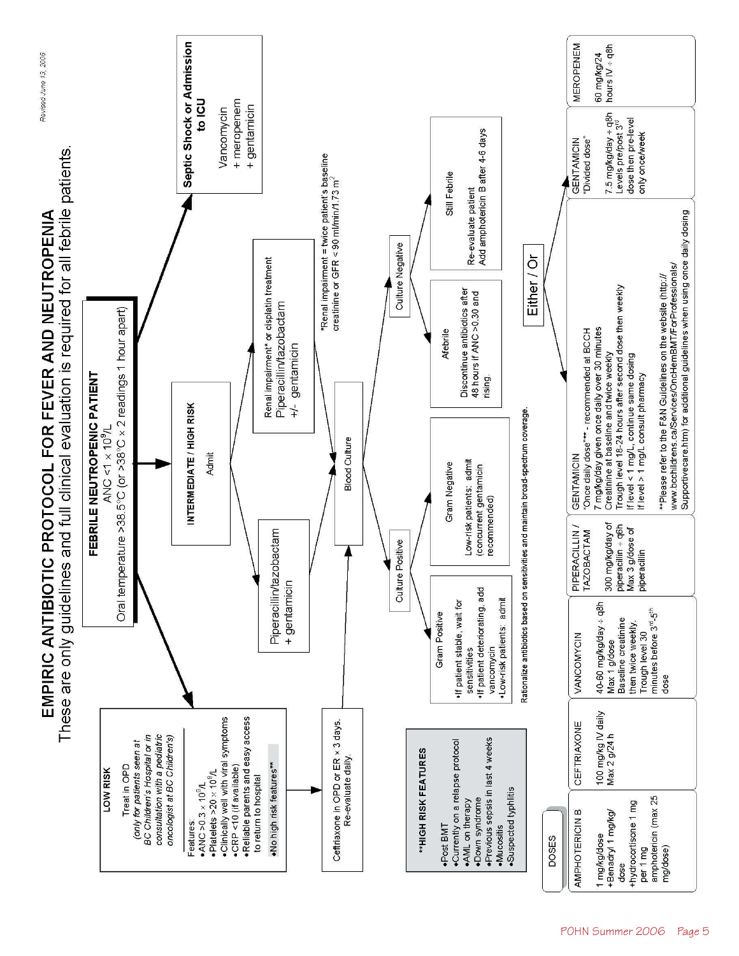